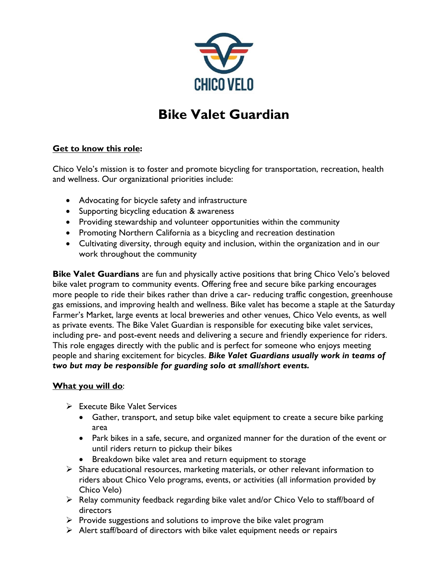

# **Bike Valet Guardian**

## **Get to know this role:**

Chico Velo's mission is to foster and promote bicycling for transportation, recreation, health and wellness. Our organizational priorities include:

- Advocating for bicycle safety and infrastructure
- Supporting bicycling education & awareness
- Providing stewardship and volunteer opportunities within the community
- Promoting Northern California as a bicycling and recreation destination
- Cultivating diversity, through equity and inclusion, within the organization and in our work throughout the community

**Bike Valet Guardians** are fun and physically active positions that bring Chico Velo's beloved bike valet program to community events. Offering free and secure bike parking encourages more people to ride their bikes rather than drive a car- reducing traffic congestion, greenhouse gas emissions, and improving health and wellness. Bike valet has become a staple at the Saturday Farmer's Market, large events at local breweries and other venues, Chico Velo events, as well as private events. The Bike Valet Guardian is responsible for executing bike valet services, including pre- and post-event needs and delivering a secure and friendly experience for riders. This role engages directly with the public and is perfect for someone who enjoys meeting people and sharing excitement for bicycles. *Bike Valet Guardians usually work in teams of two but may be responsible for guarding solo at small/short events.*

### **What you will do**:

- ➢ Execute Bike Valet Services
	- Gather, transport, and setup bike valet equipment to create a secure bike parking area
	- Park bikes in a safe, secure, and organized manner for the duration of the event or until riders return to pickup their bikes
	- Breakdown bike valet area and return equipment to storage
- $\triangleright$  Share educational resources, marketing materials, or other relevant information to riders about Chico Velo programs, events, or activities (all information provided by Chico Velo)
- ➢ Relay community feedback regarding bike valet and/or Chico Velo to staff/board of directors
- $\triangleright$  Provide suggestions and solutions to improve the bike valet program
- ➢ Alert staff/board of directors with bike valet equipment needs or repairs